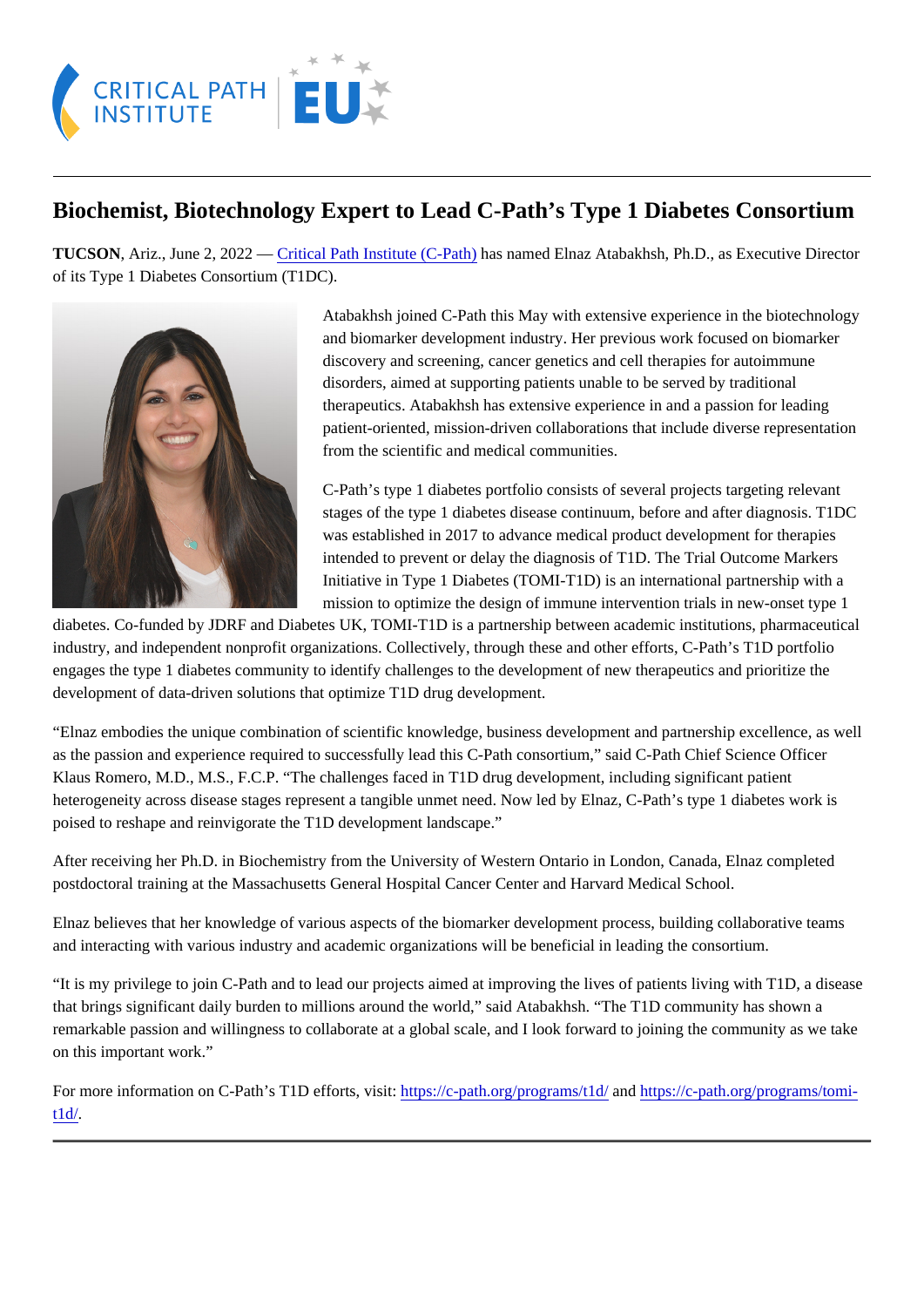## Biochemist, Biotechnology Expert to Lead C-Path's Type 1 Diabetes Consortium

TUCSON, Ariz., June 2, 2022 - Gritical Path Institute (C-Path) as named Elnaz Atabakhsh, Ph.D., as Executive Director of its Type 1 Diabetes Consortium (T1DC).

> Atabakhsh joined C-Path this May with extensive experience in the biotechnology and biomarker development industry. Her previous work focused on biomarker discovery and screening, cancer genetics and cell therapies for autoimmune disorders, aimed at supporting patients unable to be served by traditional therapeutics. Atabakhsh has extensive experience in and a passion for leading patient-oriented, mission-driven collaborations that include diverse representation from the scientific and medical communities.

C-Path's type 1 diabetes portfolio consists of several projects targeting relevant stages of the type 1 diabetes disease continuum, before and after diagnosis. T1DC was established in 2017 to advance medical product development for therapies intended to prevent or delay the diagnosis of T1D. The Trial Outcome Markers Initiative in Type 1 Diabetes (TOMI-T1D) is an international partnership with a mission to optimize the design of immune intervention trials in new-onset type 1

diabetes. Co-funded by JDRF and Diabetes UK, TOMI-T1D is a partnership between academic institutions, pharmaceutic industry, and independent nonprofit organizations. Collectively, through these and other efforts, C-Path's T1D portfolio engages the type 1 diabetes community to identify challenges to the development of new therapeutics and prioritize the development of data-driven solutions that optimize T1D drug development.

"Elnaz embodies the unique combination of scientific knowledge, business development and partnership excellence, as well as the passion and experience required to successfully lead this C-Path consortium," said C-Path Chief Science Officer Klaus Romero, M.D., M.S., F.C.P. "The challenges faced in T1D drug development, including significant patient heterogeneity across disease stages represent a tangible unmet need. Now led by Elnaz, C-Path's type 1 diabetes work poised to reshape and reinvigorate the T1D development landscape."

After receiving her Ph.D. in Biochemistry from the University of Western Ontario in London, Canada, Elnaz completed postdoctoral training at the Massachusetts General Hospital Cancer Center and Harvard Medical School.

Elnaz believes that her knowledge of various aspects of the biomarker development process, building collaborative teams and interacting with various industry and academic organizations will be beneficial in leading the consortium.

"It is my privilege to join C-Path and to lead our projects aimed at improving the lives of patients living with T1D, a disease that brings significant daily burden to millions around the world," said Atabakhsh. "The T1D community has shown a remarkable passion and willingness to collaborate at a global scale, and I look forward to joining the community as we tak on this important work."

For more information on C-Path's T1D efforts, visittps://c-path.org/programs/t1al/ndhttps://c-path.org/programs/tomi[t1d/](https://c-path.org/programs/tomi-t1d/).